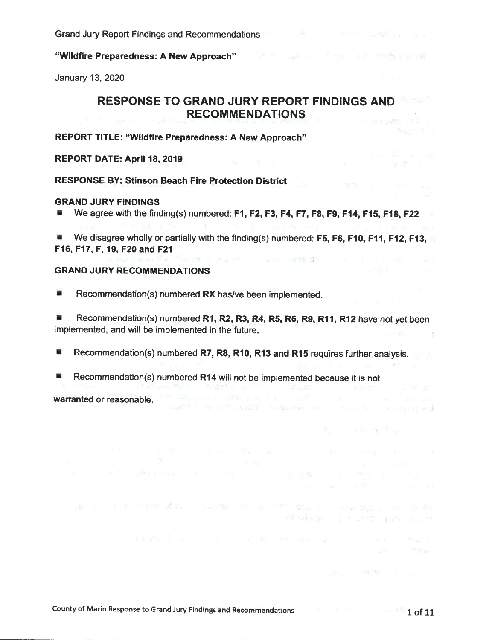#### "Wildfire Preparedness: A New Approach"

January 13, 2020

# RESPONSE TO GRAND JURY REPORT FINDINGS AND RECOMMENDATIONS

The Use Per premier an

**PAGE INFO** 

and the company of the first

The control of the Milk Control

The content of the Party of

in Klinda general and an anti-

the party of the control of the control of

Latin Commercial

REPORT TITLE: "Wildfire Preparedness: A New Approach"

#### REPORT DATE: April 18, 2019

RESPONSE BY: Stinson Beach Fire Protection District

#### GRAND JURY FINDINGS

We agree with the finding(s) numbered: F1, F2, F3, F4, F7, F8, F9, F14, F15, F18, F22

We disagree wholly or partially with the finding(s) numbered: F5, F6, F10, F11, F12, F13, F16, F17, F, 19, F20 and F21

atin'ilay kaominina mpikambana ny kaodim-paositra 2008–2014. Ilay kaominina dia kaominina mpikambana amin'ny fivondronan-kaominin'i Northern Amerika ao amin'ny fivondronan-kaominin'i Northern Amerika ao amin'ny fivondronan

BJattif L. M. Elfin within the garden for the form for the program in the

the Mill of the My South County for the property of the

production and an annual companies are a result of the

#### GRAND JURY RECOMMENDATIONS

Recommendation(s) numbered RX has/ve been implemented.

Recommendation(s) numbered R1, R2, R3, R4, R5, R6, R9, R11, R12 have not yet been implemented, and will be implemented in the future.  $1.75 - 1.3$ 

- Recommendation(s) numbered R7, R8, R10, R13 and R15 requires further analysis.
- Recommendation(s) numbered R14 will not be implemented because it is not

warranted or reasonable.

an investment of the control of the control of the state of the stage of the control of the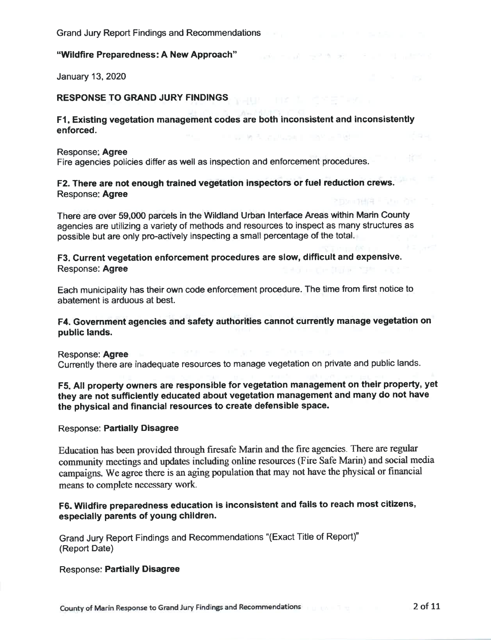#### "Wildfire Preparedness: A New Approach"

January 13, 2020

#### RESPONSE TO GRAND JURY FINDINGS

#### Fl. Existing vegetation management codes are both inconsistent and inconsistently enforced.

Ford Helena

#### Response: Agree

Fire agencies policies differ as well as inspection and enforcement procedures.

#### F2. There are not enough trained vegetation inspectors or fuel reduction crews. Response: Agree

There are over 59,000 parcels in the Wildland Urban Interface Areas within Mann County agencies are utilizing a variety of methods and resources to inspect as many structures as possible but are only pro-actively inspecting a small percentage of the total.

### F3. Current vegetation enforcement procedures are slow, difficult and expensive. Response: Agree

Each municipality has their own code enforcement procedure. The time from first notice to abatement is arduous at best.

### F4. Government agencies and safety authorities cannot currently manage vegetation on public lands.

Response: Agree

Currently there are inadequate resources to manage vegetation on private and public lands.

### F5. All property owners are responsible for vegetation management on their property, yet they are not sufficiently educated about vegetation management and many do not have the physical and financial resources to create defensible space.

#### Response: Partially Disagree

Education has been provided through firesafe Mann and the fire agencies. There are regular community meetings and updates including online resources (Fire Safe Marin) and social media campaigns. We agree there is an aging population that may not have the physical or financial means to complete necessary work.

# F6. Wildfire preparedness education is inconsistent and fails to reach most citizens, especially parents of young children.

Grand Jury Report Findings and Recommendations "(Exact Title of Report)" (Report Date)

#### Response: Partially Disagree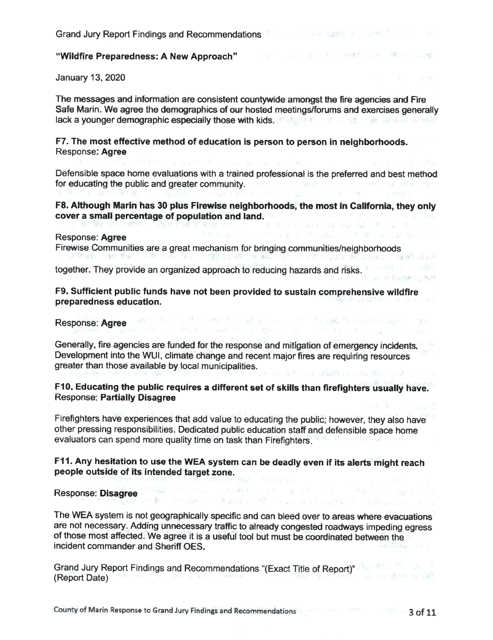January 13, 2020

The messages and information are consistent countywide amongst the fire agencies and Fire Safe Marin. We agree the demographics of our hosted meetings/forums and exercises generally lack a younger demographic especially those with kids. The latter that the latter that the latter that the latter

The common acceptions of ecosyst

#### F7. The most effective method of education is person to person in neighborhoods. Response: Agree

Defensible space home evaluations with a trained professional is the preferred and best method for educating the public and greater community.  $\blacksquare$ 

F8. Although Marin has 30 plus Firewise neighborhoods, the most in California, they only cover a small percentage of population and land.<br>The cover a small percentage of population and land.

#### Response: Agree

Firewise Communities are a great mechanism for bringing communities/neighborhoods

together. They provide an organized approach to reducing hazards and risks.

F9. Sufficient public funds have not been provided to sustain comprehensive wildfire preparedness education.

Response: Agree 28 M S. The Mill and the Mill and the Children Contact Specific Agree 1996

Generally, fire agencies are funded for the response and mitigation of emergency incidents. Development into the WUI, climate change and recent major fires are requiring resources greater than those available by local municipalities. n with a distribution of the control of the second terms of

client of controls of the control of Agon Acting and

SUP - MARCON - AUSTRALIA - SARA -

F10. Educating the public requires a different set of skills than firefighters usually have. Response: Partially Disagree

Firefighters have experiences that add value to educating the public; however, they also have other pressing responsibilities. Dedicated public education staff and defensible space home evaluators can spend more quality time on task than Firefighters.

# F11. Any hesitation to use the WEA system can be deadly even if its alerts might reach people outside of its intended target zone.<br>Decessors: Disaster and the contract of the contract of the contract of the contract of the contract of the co

# Response: Disagree

The WEA system is not geographically specific and can bleed over to areas where evacuations are not necessary. Adding unnecessary traffic to already congested roadways impeding egress of those most affected. We agree it is a useful tool but must be coordinated between the incident commander and Sheriff OES.

Grand Jury Report Findings and Recommendations "(Exact Title of Report)" (Report Date)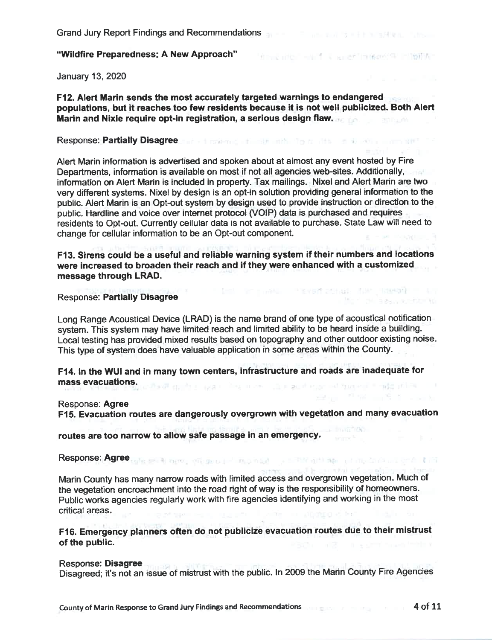THE SECTION IS A RETHINGER PUMPY.

Value of the control of the country

January 13, 2020

F12. Alert Marin sends the most accurately targeted warnings to endangered populations, but it reaches too few residents because it is not well publicized. Both Alert Marin and Nixle require opt-in registration, a serious design flaw.

#### Response: Partially Disagree. The first state of the first state of the state of the state of the state of the

Alert Marin information is advertised and spoken about at almost any event hosted by Fire Departments, information is available on most if not all agencies web-sites. Additionally, information on Alert Marin is included in property. Tax mailings. Nixel and Alert Marin are two very different systems. Nixel by design is an opt-in solution providing general information to the public. Alert Marin is an Opt-out system by design used to provide instruction or direction to the public. Hardline and voice over internet protocol (VOIP) data is purchased and requires residents to Opt-out. Currently cellular data is not available to purchase. State Law will need to change for cellular information to be an Opt-out component.

F13. Sirens could be a useful and reliable warning system if their numbers and locations were increased to broaden their reach and if they were enhanced with a customized message through LRAD.

#### THE R. P. LEWIS CO., LANSING, MICH. 49-14039-1-120-2 Response: Partially Disagree

Long Range Acoustical Device (LRAD) is the name brand of one type of acoustical notification system. This system may have limited reach and limited ability to be heard inside a building. Local testing has provided mixed results based on topography and other outdoor existing noise. This type of system does have valuable application in some areas within the County.

F14. In the WUI and in many town centers, infrastructure and roads are inadequate for mass evacuations. The character of the state of the contract of the character of the state of the contract of

#### Response: Agree

F15. Evacuation routes are dangerously overgrown with vegetation and many evacuation

routes are too narrow to allow safe passage in an emergency.

Response: Agree to be seen the study of the moment of the state of the content of the little in

Mann County has many narrow roads with limited access and overgrown vegetation. Much of the vegetation encroachment into the road right of way is the responsibility of homeowners. Public works agencies regularly work with fire agencies identifying and working in the most critical areas. ome in albetra el fort

F16. Emergency planners often do not publicize evacuation routes due to their mistrust of the public.

#### Response: Disagree

Disagreed; it's not an issue of mistrust with the public. In 2009 the Marin County Fire Agencies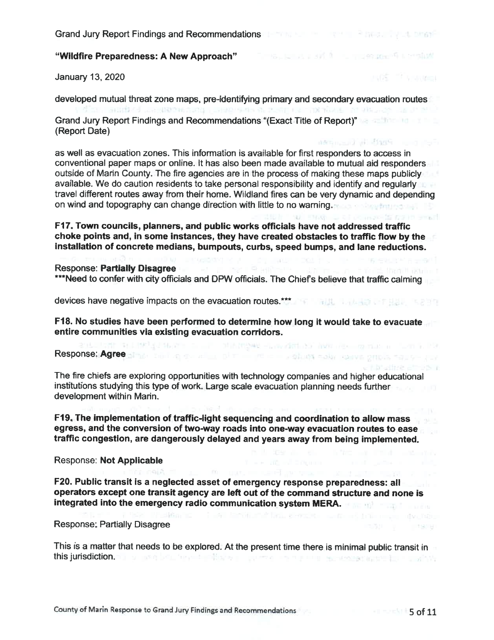# "Wildfire Preparedness: A New Approach"

January 13, 2020

developed mutual threat zone maps, pre-identifying primary and secondary evacuation routes

Grand Jury Report Findings and Recommendations "(Exact Title of Report)" (Report Date)

as well as evacuation zones. This information is available for first responders to access in conventional paper maps or online. It has also been made available to mutual aid responders outside of Mann County. The fire agencies are in the process of making these maps publicly available. We do caution residents to take personal responsibility and identify and regularly travel different routes away from their home. Wildland fires can be very dynamic and depending on wind and topography can change direction with little to no warning.

F17. Town councils, planners, and public works officials have not addressed traffic choke points and, in some instances, they have created obstacles to traffic flow by the installation of concrete medians, bumpouts, curbs, speed bumps, and lane reductions.

#### Response: Partially Disagree

Response: Partially Disagree<br>\*\*\*Need to confer with city officials and DPW officials. The Chief's believe that traffic calming

devices have negative impacts on the evacuation routes.\*\*\* The state of the state of the state of the state of

F18. No studies have been performed to determine how long it would take to evacuate entire communities via existing evacuation corridors.<br>Entertainment in Linklad that is a stational corridors.

# Response; Agree almos zijn de en al de plan de en al de de solus colus conductoriale en al de se

The fire chiefs are exploring opportunities with technology companies and higher educational institutions studying this type of work. Large scale evacuation planning needs further development within Marin.

F19. The implementation of traffic-light sequencing and coordination to allow mass egress, and the conversion of two-way roads into one-way evacuation routes to ease traffic congestion, are dangerously delayed and years away from being implemented.

Response: Not Applicable

F20. Public transit is a neglected asset of emergency response preparedness: all operators except one transit agency are left out of the command structure and none is integrated into the emergency radio communication system MERA.

Response: Partially Disagree

This is a matter that needs to be explored. At the present time there is minimal public transit in this jurisdiction. The property of the first support of the terms of the second state for the article

TER PLEASE I SERVICE TO A LOCAL CONSTANT AND CONSTANT IN THE RELEASE OF A RELEASE OF A RELEASE OF A RELEASE OF A RELEASE OF A RELEASE OF A RELEASE OF A RELEASE OF A RELEASE OF A RELEASE OF A RELEASE OF A RELEASE OF A RELEA

income the manufacturer

and 25 million on the c

nes many of first comments

N FING C Chromatelli half anni-

**Constitution of the American** 

ENGRY Y PLAN SOFT DO TV PRESS TRANSPORT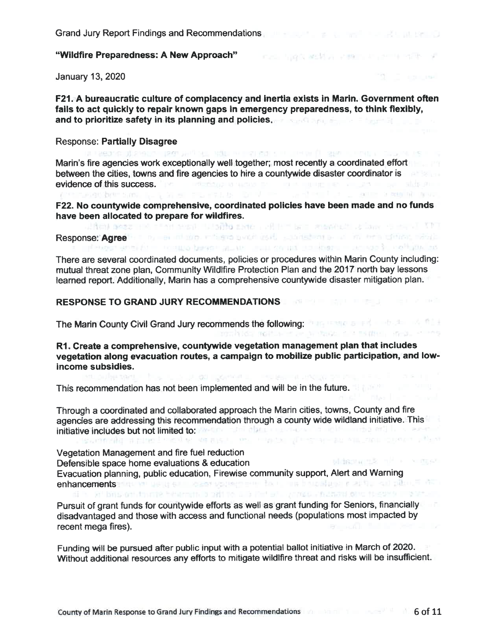#### "Wildfire Preparedness: A New Approach"

January 13, 2020

F21. A bureaucratic culture of complacency and inertia exists in Marin. Government often fails to act quickly to repair known gaps in emergency preparedness, to think flexibly, and to prioritize safety in its planning and policies.

Tel: 543,858,8 200, 21,200, 217, 228

#### Response: Partially Disagree

и наволю образовать респута могут может в протесте совменить пользовать совмести протести. Marin's fire agencies work exceptionally well together; most recently a coordinated effort between the cities, towns and fire agencies to hire a countywide disaster coordinator is evidence of this success. The continuing of the continuing continuing the continuing of the continuing of the continuing of the continuing of the continuing of the continuing of the continuing of the continuing of the cont

F22. No countywide comprehensive, coordinated policies have been made and no funds have been allocated to prepare for wildfires. Response. Agree

There are several coordinated documents, policies or procedures within Marin County including: mutual threat zone plan, Community WildIfire Protection Plan and the 2017 north bay lessons learned report. Additionally, Marin has a comprehensive countywide disaster mitigation plan.

# RESPONSE TO GRAND JURY RECOMMENDATIONS **And the second of the second service of the second service**

The Marin County Civil Grand Jury recommends the following: The state of the state of the state of the state of the state of the state of the state of the state of the state of the state of the state of the state of the st

R1. Create a comprehensive, countywide vegetation management plan that includes vegetation along evacuation routes, a campaign to mobilize public participation, and lowincome subsidies.

This recommendation has not been implemented and will be in the future.

Through a coordinated and collaborated approach the Marin cities, towns, County and fire agencies are addressing this recommendation through a county wide wildland initiative. This initiative includes but not limited to: We are a strategies and the strategies of the strategies of the strategies of the strategies of the strategies of the strategies of the strategies of the strategies of the strategies

Vegetation Management and fire fuel reduction Defensible space home evaluations & education Evacuation planning, public education, Firewise community support, Alert and Warning enhancements and us as so server construction of an anti- and planet dedi hi i yil bitsioni tovote hinarrati. Bibiti to si bi i'mi eli i yapos ve statistici e i treser i il statisti

Pursuit of grant funds for countywide efforts as well as grant funding for Seniors, financially disadvantaged and those with access and functional needs (populations most impacted by recent mega fires).

Funding will be pursued after public input with a potential ballot initiative in March of 2020. Without additional resources any efforts to mitigate wildlfire threat and risks will be insufficient.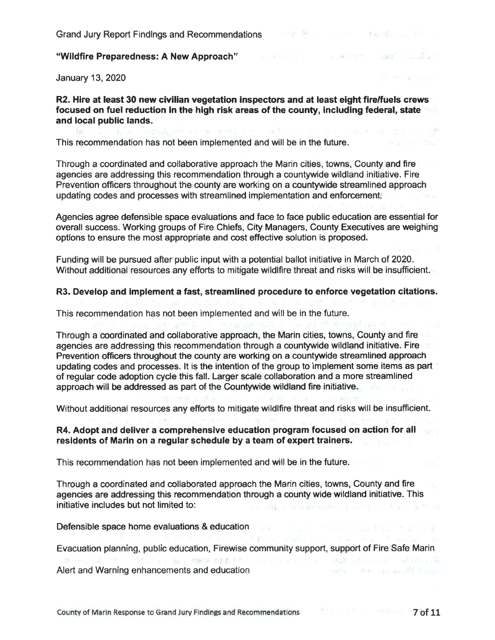January 13, 2020

# R2. Hire at least 30 new civilian vegetation inspectors and at least eight fire/fuels crews focused on fuel reduction in the high risk areas of the county, including federal, state and local public lands.<br>The continues in the continues of the continues of the continues of the continues of the continues of the cont

This recommendation has not been implemented and will be in the future.

Through a coordinated and collaborative approach the Marin cities, towns, County and fire agencies are addressing this recommendation through a countywide wildland initiative. Fire Prevention officers throughout the county are working on a countywide streamlined approach updating codes and processes with streamlined implementation and enforcement

Agencies agree defensible space evaluations and face to face public education are essential for overall success. Working groups of Fire Chiefs, City Managers, County Executives are weighing options to ensure the most appropriate and cost effective solution is proposed.

Funding will be pursued after public input with a potential ballot initiative in March of 2020. Without additional resources any efforts to mitigate wildifire threat and risks will be insufficient.

#### R3. Develop and implement a fast, streamlined procedure to enforce vegetation citations.

This recommendation has not been implemented and will be in the future.

Through a coordinated and collaborative approach, the Marin cities, towns, County and fire agencies are addressing this recommendation through a countywide wildland initiative. Fire Prevention officers throughout the county are working on a countywide streamlined approach updating codes and processes. It is the intention of the group to implement some items as part of regular code adoption cycle this fall. Larger scale collaboration and a more streamlined approach will be addressed as part of the Countywide wildland fire initiative..

Without additional resources any efforts to mitigate wildlfire threat and risks will be insufficient.

#### R4. Adopt and deliver a comprehensive education program focused on action for all residents of Marin on a regular schedule by a team of expert trainers.

This recommendation has not been implemented and will be in the future.

Through a coordinated and collaborated approach the Marin cities, towns, County and fire agencies are addressing this recommendation through a county wide wildland initiative. This initiative includes but not limited to: and with a method consideration of the constitution of the con-

# Defensible space home evaluations & education

Evacuation planning, public education, Firewise community support, support of Fire Safe Marin Alert and Warning enhancements and education THE R. P. LEWIS CO., LANSING MICH.

"I'm many

**CERTIFICATE**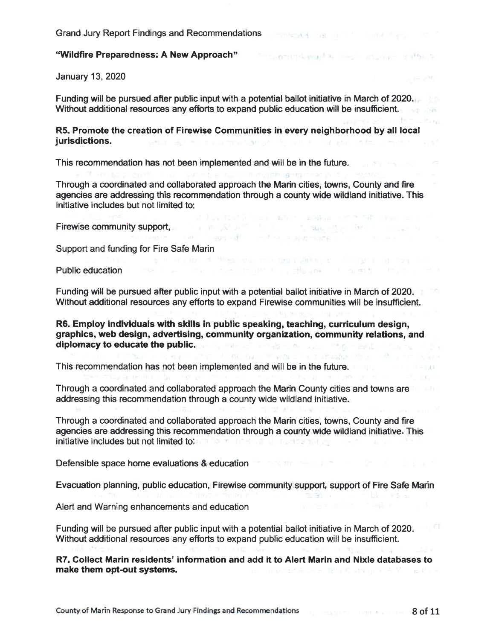# "Wildfire Preparedness: A New Approach"

January 13, 2020

Funding will be pursued after public input with a potential ballot initiative in March of 2020. Without additional resources any efforts to expand public education will be insufficient.

R5. Promote the creation of Firewise Communities in every neighborhood by all local jurisdictions. The second state of the state of the state of the state of the state of the state of the state of the state of the state of the state of the state of the state of the state of the state of the state of the s

This recommendation has not been implemented and will be in the future.

Through a coordinated and collaborated approach the Mann cities, towns, County and fire agencies are addressing this recommendation through a county wide wildland initiative. This initiative includes but not limited to:

and an upplying engineer as it.

All the first interest of their contributions of the first term of the contributions of

Firewise community support,

Support and funding for Fire Safe Marin

Public education and the second second property of the second property of the second property of the second property of the second property of the second property of the second property of the second property of the second

Funding will be pursued after public input with a potential ballot initiative in March of 2020. Without additional resources any efforts to expand Firewise communities will be insufficient.

իրը, որ չուսող վրաժանեցութը, ուս պարզ չկեղ, որ հաղցող ոչութը ուսու

R6. Employ individuals with skills in public speaking, teaching, curriculum design, graphics, web design, advertising, community organization, community relations, and diplomacy to educate the public. The public of the public of the public of the public of the public of the public of the public of the public of the public of the public of the public of the public of the public of the pub

This recommendation has not been implemented and will be in the future.

Through a coordinated and collaborated approach the Marin County cities and towns are addressing this recommendation through a county wide wildland initiative.

Through a coordinated and collaborated approach the Marin cities, towns, County and fire agencies are addressing this recommendation through a county wide wildland initiative. This **initiative includes but not limited to:** The state of the flat method of the state of the state of the state of the state of the state of the state of the state of the state of the state of the state of the state of the s

Defensible space home evaluations & education and the state of the state of the state of the state of the state of the state of the state of the state of the state of the state of the state of the state of the state of the

Evacuation planning, public education, Firewise community support, support of Fire Safe Mann - Television - La Caracterium - La Caracterium

Alert and Warning enhancements and education

Funding will be pursued after public input with a potential ballot initiative in March of 2020. Without additional resources any efforts to expand public education will be insufficient.

R7. Collect Marin residents' information and add it to Alert Marin and Nixle databases to make them opt-out systems. and an account of the second state of the second second second second second second second second second second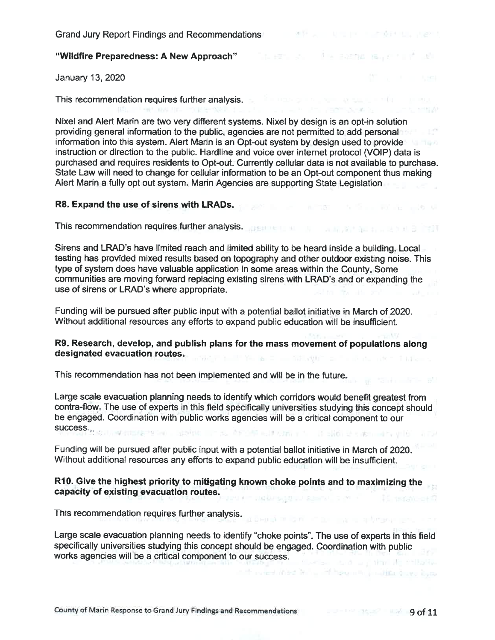January 13, 2020

This recommendation requires further analysis.<br>
This recommendation requires further analysis.

Nixel and Alert Marin are two very different systems. Nixel by design is an opt-in solution providing general information to the public, agencies are not permitted to add personal information into this system. Alert Marin is an Opt-out system by design used to provide instruction or direction to the public. Hardline and voice over intemet protocol (VOIP) data is purchased and requires residents to Opt-out. Currently cellular data is not available to purchase. State Law will need to change for cellular information to be an Opt-out component thus making Alert Marin a fully opt out system. Marin Agencies are supporting State Legislation

control of the state of the control of the

# R8. Expand the use of sirens with LRADs. The second the second second second second second second second second

This recommendation requires further analysis. We have a second contract of the state of the state of the state of the state of the state of the state of the state of the state of the state of the state of the state of the

Sirens and LRAD's have limited reach and limited ability to be heard inside a building. Local testing has provided mixed results based on topography and other outdoor existing noise. This type of system does have valuable application in some areas within the County. Some communities are moving forward replacing existing sirens with LRAD's and or expanding the use of sirens or LRAD's where appropriate.

Funding will be pursued after public input with a potential ballot initiative in March of 2020. Without additional resources any efforts to expand public education will be insufficient.

# R9. Research, develop, and publish plans for the mass movement of populations along designated evacuation routes.

This recommendation has not been implemented and will be in the future.

Large scale evacuation planning needs to identify which corridors would benefit greatest from contra-flow The use of experts in this field specifically universities studying this concept should be engaged. Coordination with public works agencies will be a critical component to our success.

Funding will be pursued after public input with a potential ballot initiative in March of 2020. Without additional resources any efforts to expand public education will be insufficient.

#### R10. Give the highest priority to mitigating known choke points and to maximizing the capacity of existing evacuation routes. **If wanted**

This recommendation requires further analysis.

Large scale evacuation planning needs to identify "choke points". The use of experts in this field specifically universities studying this concept should be engaged. Coordination with public works agencies will be a critical component to our success. Contact deal on the R Printing

informed (next left). If here is a little does here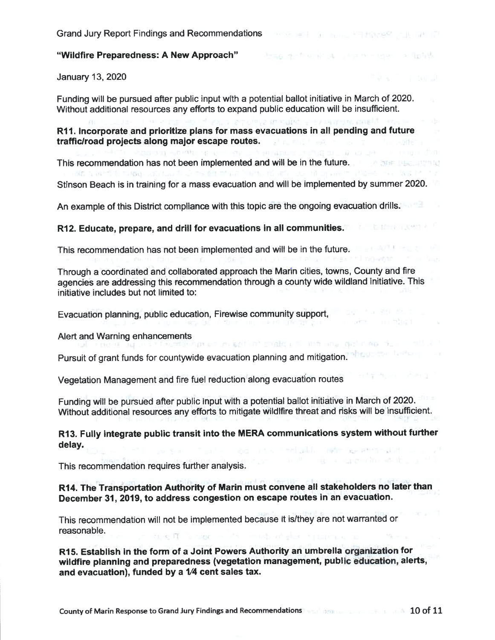ARE A WARRENT FORMAL AND MULTIPLE OF THE REPORT OF THE REPORT OF

#### "Wildfire Preparedness: A New Approach"

January 13, 2020

Funding will be pursued after public input with a potential ballot initiative in March of 2020. Without additional resources any efforts to expand public education will be insufficient.

R11. Incorporate and prioritize plans for mass evacuations in all pending and future traffic/road projects along major escape routes.

This recommendation has not been implemented and will be in the future.

Stinson Beach is in training for a mass evacuation and will be implemented by summer 2020.

6 Worker's Page on Walt 27

a series and third to

An example of this District compliance with this topic are the ongoing evacuation drills.

R12. Educate, prepare, and drill for evacuations in all communities. The contract of the contract of

This recommendation has not been implemented and will be in the future.

Through a coordinated and collaborated approach the Marin cities, towns, County and fire agencies are addressing this recommendation through a county wide wildland initiative. This initiative includes but not limited to:

Evacuation planning, public education, Firewise community support,

Alert and Warning enhancements<br> **Alert** and the two states are sent in the first part of the state and the state of the state of the state of the

Pursuit of grant funds for countywide evacuation planning and mitigation.<sup>14</sup>

Vegetation Management and fire fuel reduction along evacuation routes

Funding will be pursued after public input with a potential ballot initiative in March of 2020. Without additional resources any efforts to mitigate wildlfire threat and risks will be insufficient.

R13. Fully integrate public transit into the MERA communications system without further delay. a that and the industry weather and the

This recommendation requires further analysis.

R14. The Transportation Authority of Marin must convene all stakeholders no later than December 31, 2019, to address congestion on escape routes in an evacuation.

This recommendation will not be implemented because it is/they are not warranted or reasonable. cross fit in contact of a county of what is company on

R15. Establish in the form of a Joint Powers Authority an umbrella organization for wildfire planning and preparedness (vegetation management, public education, alerts, and evacuation), funded by a V4 cent sales tax.